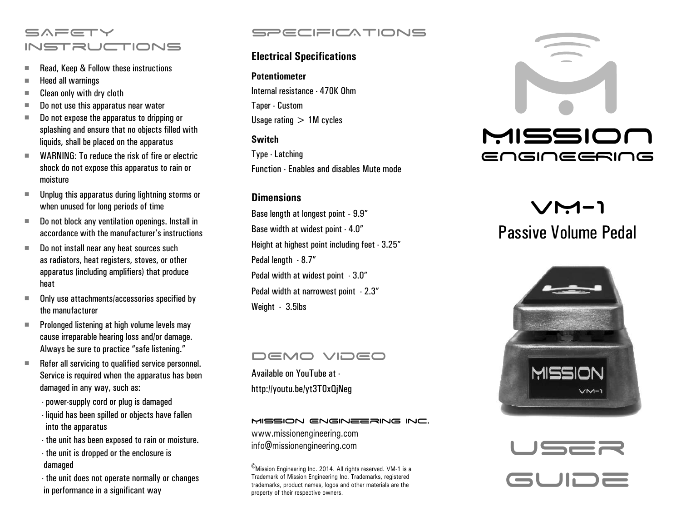## $S$  $\wedge$  $F$  $T$  $\vee$ **INSTRUCTIONS**

- Read, Keep & Follow these instructions
- $\blacksquare$  Heed all warnings
- $\blacksquare$  Clean only with dry cloth
- Do not use this apparatus near water
- Do not expose the apparatus to dripping or splashing and ensure that no objects filled with liquids, shall be placed on the apparatus
- $\blacksquare$  WARNING: To reduce the risk of fire or electric shock do not expose this apparatus to rain or moisture
- $\blacksquare$  Unplug this apparatus during lightning storms or when unused for long periods of time
- Do not block any ventilation openings. Install in accordance with the manufacturer's instructions
- $\blacksquare$  Do not install near any heat sources such as radiators, heat registers, stoves, or other apparatus (including amplifiers) that produce heat
- Only use attachments/accessories specified by the manufacturer
- $\blacksquare$  Prolonged listening at high volume levels may cause irreparable hearing loss and/or damage. Always be sure to practice "safe listening."
- Refer all servicing to qualified service personnel. Service is required when the apparatus has been damaged in any way, such as:
	- power-supply cord or plug is damaged
	- liquid has been spilled or objects have fallen into the apparatus
	- the unit has been exposed to rain or moisture.
	- the unit is dropped or the enclosure is damaged
	- the unit does not operate normally or changes in performance in a significant way

## SPECIFICATIONS

### **Electrical Specifications**

**Potentiometer** Internal resistance - 470K Ohm Taper - Custom Usage rating  $> 1M$  cycles

**Switch** Type - Latching Function - Enables and disables Mute mode

## **Dimensions**

Base length at longest point - 9.9" Base width at widest point - 4.0" Height at highest point including feet - 3.25" Pedal length  $-8.7$ " Pedal width at widest point - 3.0" Pedal width at narrowest point  $-2.3$ " Weight - 3.5lbs

## DEmo vidEo

Available on YouTube at http://youtu.be/yt3T0xQjNeg

### MISSION ENGINEERING INC.

www.missionengineering.com info@missionengineering.com



# $V$ M-1 Passive Volume Pedal





<sup>©</sup>Mission Engineering Inc. 2014. All rights reserved. VM-1 is a Trademark of Mission Engineering Inc. Trademarks, registered trademarks, product names, logos and other materials are the property of their respective owners.